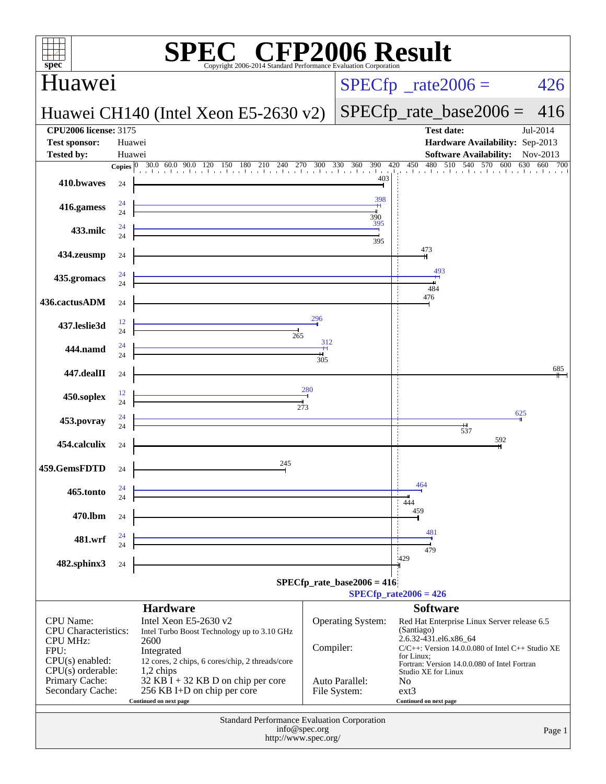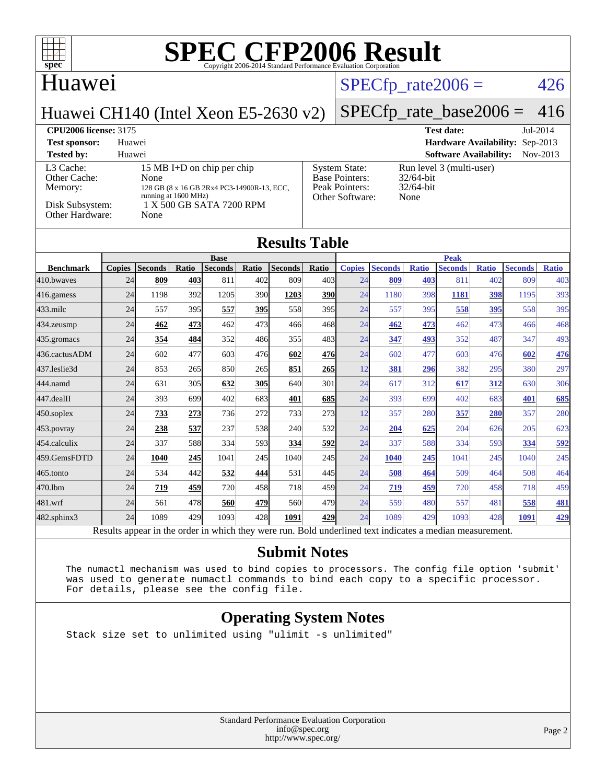

#### Huawei

[Other Cache:](http://www.spec.org/auto/cpu2006/Docs/result-fields.html#OtherCache)

### $SPECTp_rate2006 = 426$

Huawei CH140 (Intel Xeon E5-2630 v2)

#### [SPECfp\\_rate\\_base2006 =](http://www.spec.org/auto/cpu2006/Docs/result-fields.html#SPECfpratebase2006) 416

**[CPU2006 license:](http://www.spec.org/auto/cpu2006/Docs/result-fields.html#CPU2006license)** 3175 **[Test date:](http://www.spec.org/auto/cpu2006/Docs/result-fields.html#Testdate)** Jul-2014 **[Test sponsor:](http://www.spec.org/auto/cpu2006/Docs/result-fields.html#Testsponsor)** Huawei **[Hardware Availability:](http://www.spec.org/auto/cpu2006/Docs/result-fields.html#HardwareAvailability)** Sep-2013 **[Tested by:](http://www.spec.org/auto/cpu2006/Docs/result-fields.html#Testedby)** Huawei **[Software Availability:](http://www.spec.org/auto/cpu2006/Docs/result-fields.html#SoftwareAvailability)** Nov-2013

#### [L3 Cache:](http://www.spec.org/auto/cpu2006/Docs/result-fields.html#L3Cache) 15 MB I+D on chip per chip<br>Other Cache: None [Memory:](http://www.spec.org/auto/cpu2006/Docs/result-fields.html#Memory) 128 GB (8 x 16 GB 2Rx4 PC3-14900F running at 1600 MHz) [Disk Subsystem:](http://www.spec.org/auto/cpu2006/Docs/result-fields.html#DiskSubsystem)  $1 \text{ X } 500 \text{ GB } \text{SATA } 7200 \text{ RP}$ <br>Other Hardware: None [Other Hardware:](http://www.spec.org/auto/cpu2006/Docs/result-fields.html#OtherHardware)

|            | <b>System State:</b>  | Run l |
|------------|-----------------------|-------|
|            | <b>Base Pointers:</b> | 32/64 |
| 2-13, ECC, | Peak Pointers:        | 32/64 |
| M          | Other Software:       | None  |
|            |                       |       |

level 3 (multi-user) 1-bit 1-bit

#### **[Results Table](http://www.spec.org/auto/cpu2006/Docs/result-fields.html#ResultsTable)**

|                  | <b>Base</b>    |                 |              |                |       |                | <b>Peak</b>  |                      |                 |              |                |              |                |              |
|------------------|----------------|-----------------|--------------|----------------|-------|----------------|--------------|----------------------|-----------------|--------------|----------------|--------------|----------------|--------------|
| <b>Benchmark</b> | <b>Copies</b>  | <b>Seconds</b>  | Ratio        | <b>Seconds</b> | Ratio | <b>Seconds</b> | <b>Ratio</b> | <b>Copies</b>        | <b>Seconds</b>  | <b>Ratio</b> | <b>Seconds</b> | <b>Ratio</b> | <b>Seconds</b> | <b>Ratio</b> |
| 410.bwayes       | 24             | 809             | 403          | 811            | 402   | 809            | 403          | 24                   | 809             | 403          | 811            | 402          | 809            | 403          |
| 416.gamess       | 24             | 1198            | 392          | 1205           | 390   | 1203           | <u>390</u>   | 24                   | 1180            | 398          | 1181           | 398          | 1195           | 393          |
| $433$ .milc      | 24             | 557             | 395          | 557            | 395   | 558            | 395          | 24                   | 557             | 395          | 558            | 395          | 558            | 395          |
| 434.zeusmp       | 24             | 462             | 473          | 462            | 473   | 466            | 468          | 24                   | 462             | 473          | 462            | 473          | 466            | 468          |
| 435.gromacs      | 24             | 354             | 484          | 352            | 486   | 355            | 483          | 24                   | 347             | 493          | 352            | 487          | 347            | 493          |
| 436.cactusADM    | 24             | 602             | 477          | 603            | 476   | 602            | 476          | 24                   | 602             | 477          | 603            | 476          | 602            | 476          |
| 437.leslie3d     | 24             | 853             | 265          | 850            | 265   | 851            | <b>265</b>   | 12                   | <u>381</u>      | 296          | 382            | 295          | 380            | 297          |
| 444.namd         | 24             | 631             | 305          | 632            | 305   | 640            | 301          | 24                   | 617             | 312          | 617            | 312          | 630            | 306          |
| 447.dealII       | 24             | 393             | 699          | 402            | 683   | 401            | 685          | 24                   | 393             | 699          | 402            | 683          | 401            | 685          |
| $450$ .soplex    | 24             | 733             | 273          | 736            | 272   | 733            | 273          | 12                   | 357             | 280          | 357            | 280          | 357            | 280          |
| 453.povray       | 24             | 238             | 537          | 237            | 538   | 240            | 532          | 24                   | 204             | 625          | 204            | 626          | 205            | 623          |
| 454.calculix     | 24             | 337             | 588          | 334            | 593   | 334            | 592          | 24                   | 337             | 588          | 334            | 593          | 334            | 592          |
| 459.GemsFDTD     | 24             | 1040            | 245          | 1041           | 245   | 1040           | 245          | 24                   | 1040            | 245          | 1041           | 245          | 1040           | 245          |
| $465$ .tonto     | 24             | 534             | 442          | 532            | 444   | 531            | 445          | 24                   | 508             | 464          | 509            | 464          | 508            | 464          |
| 470.1bm          | 24             | 719             | 459          | 720            | 458   | 718            | 459          | 24                   | 719             | 459          | 720            | 458          | 718            | 459          |
| 481.wrf          | 24             | 561             | 478          | 560            | 479   | 560            | 479          | 24                   | 559             | 480          | 557            | 481          | 558            | <u>481</u>   |
| 482.sphinx3      | 24             | 1089            | 429          | 1093           | 428   | 1091           | 429          | 24                   | 1089            | 429          | 1093           | 428          | 1091           | 429          |
| $\mathbf{r}$     | $\mathbf{1}$ . | $\cdot$ $\cdot$ | $\mathbf{I}$ | 1.1.1.1        |       |                | $T = 1.1$    | 1.11<br>$\mathbf{1}$ | $\cdot$ $\cdot$ |              |                |              |                |              |

Results appear in the [order in which they were run.](http://www.spec.org/auto/cpu2006/Docs/result-fields.html#RunOrder) Bold underlined text [indicates a median measurement.](http://www.spec.org/auto/cpu2006/Docs/result-fields.html#Median)

#### **[Submit Notes](http://www.spec.org/auto/cpu2006/Docs/result-fields.html#SubmitNotes)**

 The numactl mechanism was used to bind copies to processors. The config file option 'submit' was used to generate numactl commands to bind each copy to a specific processor. For details, please see the config file.

#### **[Operating System Notes](http://www.spec.org/auto/cpu2006/Docs/result-fields.html#OperatingSystemNotes)**

Stack size set to unlimited using "ulimit -s unlimited"

Standard Performance Evaluation Corporation [info@spec.org](mailto:info@spec.org) <http://www.spec.org/>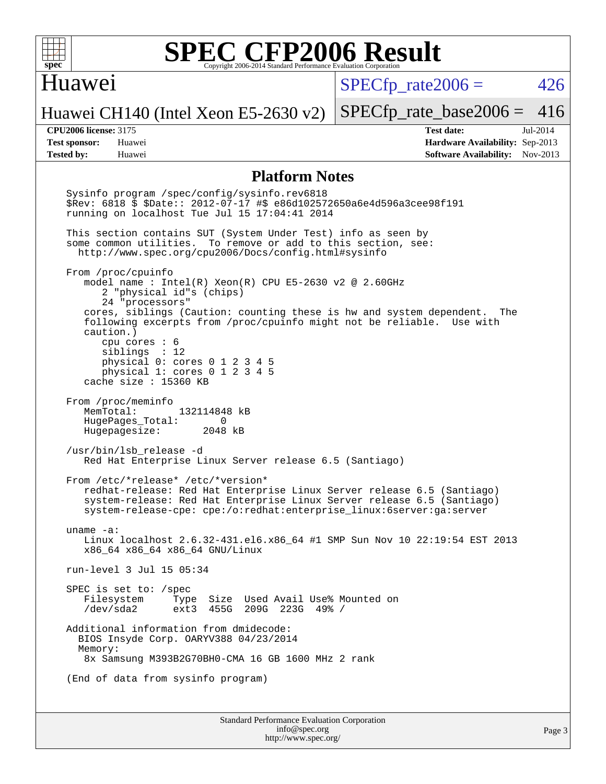

#### Huawei

 $SPECTp\_rate2006 = 426$ 

Huawei CH140 (Intel Xeon E5-2630 v2)

[SPECfp\\_rate\\_base2006 =](http://www.spec.org/auto/cpu2006/Docs/result-fields.html#SPECfpratebase2006) 416

**[CPU2006 license:](http://www.spec.org/auto/cpu2006/Docs/result-fields.html#CPU2006license)** 3175 **[Test date:](http://www.spec.org/auto/cpu2006/Docs/result-fields.html#Testdate)** Jul-2014 **[Test sponsor:](http://www.spec.org/auto/cpu2006/Docs/result-fields.html#Testsponsor)** Huawei **[Hardware Availability:](http://www.spec.org/auto/cpu2006/Docs/result-fields.html#HardwareAvailability)** Sep-2013 **[Tested by:](http://www.spec.org/auto/cpu2006/Docs/result-fields.html#Testedby)** Huawei **[Software Availability:](http://www.spec.org/auto/cpu2006/Docs/result-fields.html#SoftwareAvailability)** Nov-2013

#### **[Platform Notes](http://www.spec.org/auto/cpu2006/Docs/result-fields.html#PlatformNotes)**

 Sysinfo program /spec/config/sysinfo.rev6818 \$Rev: 6818 \$ \$Date:: 2012-07-17 #\$ e86d102572650a6e4d596a3cee98f191 running on localhost Tue Jul 15 17:04:41 2014 This section contains SUT (System Under Test) info as seen by some common utilities. To remove or add to this section, see: <http://www.spec.org/cpu2006/Docs/config.html#sysinfo> From /proc/cpuinfo model name : Intel(R) Xeon(R) CPU E5-2630 v2 @ 2.60GHz 2 "physical id"s (chips) 24 "processors" cores, siblings (Caution: counting these is hw and system dependent. The following excerpts from /proc/cpuinfo might not be reliable. Use with caution.) cpu cores : 6 siblings : 12 physical 0: cores 0 1 2 3 4 5 physical 1: cores 0 1 2 3 4 5 cache size : 15360 KB From /proc/meminfo MemTotal: 132114848 kB HugePages\_Total: 0<br>Hugepagesize: 2048 kB Hugepagesize: /usr/bin/lsb\_release -d Red Hat Enterprise Linux Server release 6.5 (Santiago) From /etc/\*release\* /etc/\*version\* redhat-release: Red Hat Enterprise Linux Server release 6.5 (Santiago) system-release: Red Hat Enterprise Linux Server release 6.5 (Santiago) system-release-cpe: cpe:/o:redhat:enterprise\_linux:6server:ga:server uname -a: Linux localhost 2.6.32-431.el6.x86\_64 #1 SMP Sun Nov 10 22:19:54 EST 2013 x86\_64 x86\_64 x86\_64 GNU/Linux run-level 3 Jul 15 05:34 SPEC is set to: /spec Filesystem Type Size Used Avail Use% Mounted on ext3 455G 209G 223G 49% / Additional information from dmidecode: BIOS Insyde Corp. OARYV388 04/23/2014 Memory: 8x Samsung M393B2G70BH0-CMA 16 GB 1600 MHz 2 rank (End of data from sysinfo program)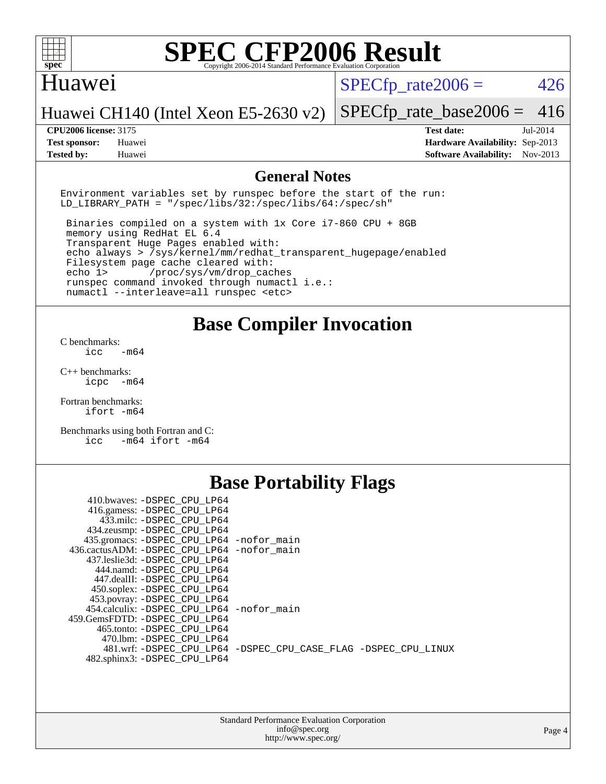

#### Huawei

 $SPECTp\_rate2006 = 426$ 

Huawei CH140 (Intel Xeon E5-2630 v2)

#### [SPECfp\\_rate\\_base2006 =](http://www.spec.org/auto/cpu2006/Docs/result-fields.html#SPECfpratebase2006) 416

**[CPU2006 license:](http://www.spec.org/auto/cpu2006/Docs/result-fields.html#CPU2006license)** 3175 **[Test date:](http://www.spec.org/auto/cpu2006/Docs/result-fields.html#Testdate)** Jul-2014 **[Test sponsor:](http://www.spec.org/auto/cpu2006/Docs/result-fields.html#Testsponsor)** Huawei **[Hardware Availability:](http://www.spec.org/auto/cpu2006/Docs/result-fields.html#HardwareAvailability)** Sep-2013 **[Tested by:](http://www.spec.org/auto/cpu2006/Docs/result-fields.html#Testedby)** Huawei **[Software Availability:](http://www.spec.org/auto/cpu2006/Docs/result-fields.html#SoftwareAvailability)** Nov-2013

#### **[General Notes](http://www.spec.org/auto/cpu2006/Docs/result-fields.html#GeneralNotes)**

Environment variables set by runspec before the start of the run: LD LIBRARY PATH = "/spec/libs/32:/spec/libs/64:/spec/sh"

 Binaries compiled on a system with 1x Core i7-860 CPU + 8GB memory using RedHat EL 6.4 Transparent Huge Pages enabled with: echo always > /sys/kernel/mm/redhat\_transparent\_hugepage/enabled Filesystem page cache cleared with: echo 1> /proc/sys/vm/drop\_caches runspec command invoked through numactl i.e.: numactl --interleave=all runspec <etc>

#### **[Base Compiler Invocation](http://www.spec.org/auto/cpu2006/Docs/result-fields.html#BaseCompilerInvocation)**

[C benchmarks](http://www.spec.org/auto/cpu2006/Docs/result-fields.html#Cbenchmarks):  $\text{icc}$   $-\text{m64}$ 

[C++ benchmarks:](http://www.spec.org/auto/cpu2006/Docs/result-fields.html#CXXbenchmarks) [icpc -m64](http://www.spec.org/cpu2006/results/res2014q3/cpu2006-20140718-30510.flags.html#user_CXXbase_intel_icpc_64bit_bedb90c1146cab66620883ef4f41a67e)

[Fortran benchmarks](http://www.spec.org/auto/cpu2006/Docs/result-fields.html#Fortranbenchmarks): [ifort -m64](http://www.spec.org/cpu2006/results/res2014q3/cpu2006-20140718-30510.flags.html#user_FCbase_intel_ifort_64bit_ee9d0fb25645d0210d97eb0527dcc06e)

[Benchmarks using both Fortran and C](http://www.spec.org/auto/cpu2006/Docs/result-fields.html#BenchmarksusingbothFortranandC): [icc -m64](http://www.spec.org/cpu2006/results/res2014q3/cpu2006-20140718-30510.flags.html#user_CC_FCbase_intel_icc_64bit_0b7121f5ab7cfabee23d88897260401c) [ifort -m64](http://www.spec.org/cpu2006/results/res2014q3/cpu2006-20140718-30510.flags.html#user_CC_FCbase_intel_ifort_64bit_ee9d0fb25645d0210d97eb0527dcc06e)

## **[Base Portability Flags](http://www.spec.org/auto/cpu2006/Docs/result-fields.html#BasePortabilityFlags)**

| 410.bwaves: -DSPEC CPU LP64                 |                                                                |
|---------------------------------------------|----------------------------------------------------------------|
| 416.gamess: -DSPEC_CPU_LP64                 |                                                                |
| 433.milc: -DSPEC CPU LP64                   |                                                                |
| 434.zeusmp: - DSPEC_CPU_LP64                |                                                                |
| 435.gromacs: -DSPEC_CPU_LP64 -nofor_main    |                                                                |
| 436.cactusADM: -DSPEC CPU LP64 -nofor main  |                                                                |
| 437.leslie3d: -DSPEC CPU LP64               |                                                                |
| 444.namd: -DSPEC CPU LP64                   |                                                                |
| 447.dealII: -DSPEC_CPU LP64                 |                                                                |
| 450.soplex: -DSPEC_CPU_LP64                 |                                                                |
| 453.povray: -DSPEC CPU LP64                 |                                                                |
| 454.calculix: - DSPEC CPU LP64 - nofor main |                                                                |
| 459. GemsFDTD: - DSPEC CPU LP64             |                                                                |
| 465.tonto: - DSPEC CPU LP64                 |                                                                |
| 470.1bm: - DSPEC CPU LP64                   |                                                                |
|                                             | 481.wrf: -DSPEC CPU_LP64 -DSPEC_CPU_CASE_FLAG -DSPEC_CPU_LINUX |
| 482.sphinx3: -DSPEC_CPU_LP64                |                                                                |
|                                             |                                                                |

| <b>Standard Performance Evaluation Corporation</b> |
|----------------------------------------------------|
| info@spec.org                                      |
| http://www.spec.org/                               |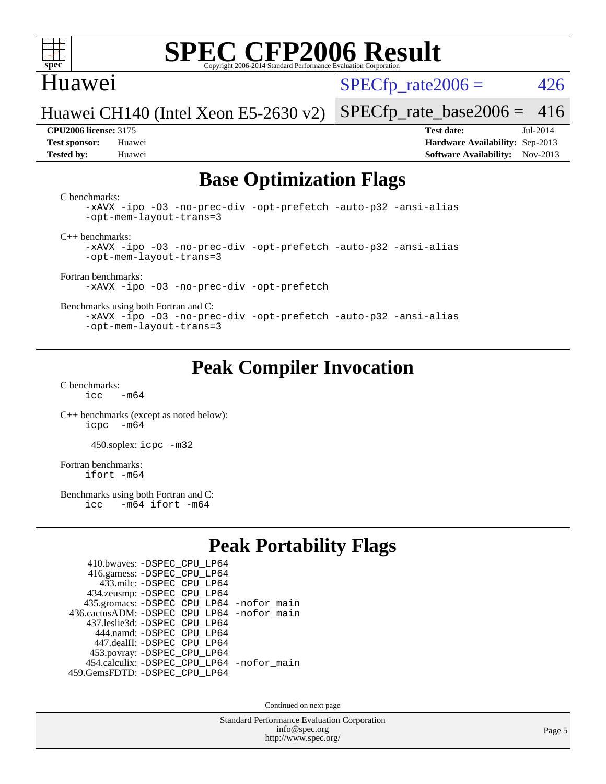

### Huawei

 $SPECTp\_rate2006 = 426$ 

Huawei CH140 (Intel Xeon E5-2630 v2)

**[Tested by:](http://www.spec.org/auto/cpu2006/Docs/result-fields.html#Testedby)** Huawei **[Software Availability:](http://www.spec.org/auto/cpu2006/Docs/result-fields.html#SoftwareAvailability)** Nov-2013

**[CPU2006 license:](http://www.spec.org/auto/cpu2006/Docs/result-fields.html#CPU2006license)** 3175 **[Test date:](http://www.spec.org/auto/cpu2006/Docs/result-fields.html#Testdate)** Jul-2014 **[Test sponsor:](http://www.spec.org/auto/cpu2006/Docs/result-fields.html#Testsponsor)** Huawei **[Hardware Availability:](http://www.spec.org/auto/cpu2006/Docs/result-fields.html#HardwareAvailability)** Sep-2013

[SPECfp\\_rate\\_base2006 =](http://www.spec.org/auto/cpu2006/Docs/result-fields.html#SPECfpratebase2006) 416

### **[Base Optimization Flags](http://www.spec.org/auto/cpu2006/Docs/result-fields.html#BaseOptimizationFlags)**

[C benchmarks](http://www.spec.org/auto/cpu2006/Docs/result-fields.html#Cbenchmarks):

[-xAVX](http://www.spec.org/cpu2006/results/res2014q3/cpu2006-20140718-30510.flags.html#user_CCbase_f-xAVX) [-ipo](http://www.spec.org/cpu2006/results/res2014q3/cpu2006-20140718-30510.flags.html#user_CCbase_f-ipo) [-O3](http://www.spec.org/cpu2006/results/res2014q3/cpu2006-20140718-30510.flags.html#user_CCbase_f-O3) [-no-prec-div](http://www.spec.org/cpu2006/results/res2014q3/cpu2006-20140718-30510.flags.html#user_CCbase_f-no-prec-div) [-opt-prefetch](http://www.spec.org/cpu2006/results/res2014q3/cpu2006-20140718-30510.flags.html#user_CCbase_f-opt-prefetch) [-auto-p32](http://www.spec.org/cpu2006/results/res2014q3/cpu2006-20140718-30510.flags.html#user_CCbase_f-auto-p32) [-ansi-alias](http://www.spec.org/cpu2006/results/res2014q3/cpu2006-20140718-30510.flags.html#user_CCbase_f-ansi-alias) [-opt-mem-layout-trans=3](http://www.spec.org/cpu2006/results/res2014q3/cpu2006-20140718-30510.flags.html#user_CCbase_f-opt-mem-layout-trans_a7b82ad4bd7abf52556d4961a2ae94d5)

[C++ benchmarks:](http://www.spec.org/auto/cpu2006/Docs/result-fields.html#CXXbenchmarks)

[-xAVX](http://www.spec.org/cpu2006/results/res2014q3/cpu2006-20140718-30510.flags.html#user_CXXbase_f-xAVX) [-ipo](http://www.spec.org/cpu2006/results/res2014q3/cpu2006-20140718-30510.flags.html#user_CXXbase_f-ipo) [-O3](http://www.spec.org/cpu2006/results/res2014q3/cpu2006-20140718-30510.flags.html#user_CXXbase_f-O3) [-no-prec-div](http://www.spec.org/cpu2006/results/res2014q3/cpu2006-20140718-30510.flags.html#user_CXXbase_f-no-prec-div) [-opt-prefetch](http://www.spec.org/cpu2006/results/res2014q3/cpu2006-20140718-30510.flags.html#user_CXXbase_f-opt-prefetch) [-auto-p32](http://www.spec.org/cpu2006/results/res2014q3/cpu2006-20140718-30510.flags.html#user_CXXbase_f-auto-p32) [-ansi-alias](http://www.spec.org/cpu2006/results/res2014q3/cpu2006-20140718-30510.flags.html#user_CXXbase_f-ansi-alias) [-opt-mem-layout-trans=3](http://www.spec.org/cpu2006/results/res2014q3/cpu2006-20140718-30510.flags.html#user_CXXbase_f-opt-mem-layout-trans_a7b82ad4bd7abf52556d4961a2ae94d5)

[Fortran benchmarks](http://www.spec.org/auto/cpu2006/Docs/result-fields.html#Fortranbenchmarks): [-xAVX](http://www.spec.org/cpu2006/results/res2014q3/cpu2006-20140718-30510.flags.html#user_FCbase_f-xAVX) [-ipo](http://www.spec.org/cpu2006/results/res2014q3/cpu2006-20140718-30510.flags.html#user_FCbase_f-ipo) [-O3](http://www.spec.org/cpu2006/results/res2014q3/cpu2006-20140718-30510.flags.html#user_FCbase_f-O3) [-no-prec-div](http://www.spec.org/cpu2006/results/res2014q3/cpu2006-20140718-30510.flags.html#user_FCbase_f-no-prec-div) [-opt-prefetch](http://www.spec.org/cpu2006/results/res2014q3/cpu2006-20140718-30510.flags.html#user_FCbase_f-opt-prefetch)

[Benchmarks using both Fortran and C](http://www.spec.org/auto/cpu2006/Docs/result-fields.html#BenchmarksusingbothFortranandC):

[-xAVX](http://www.spec.org/cpu2006/results/res2014q3/cpu2006-20140718-30510.flags.html#user_CC_FCbase_f-xAVX) [-ipo](http://www.spec.org/cpu2006/results/res2014q3/cpu2006-20140718-30510.flags.html#user_CC_FCbase_f-ipo) [-O3](http://www.spec.org/cpu2006/results/res2014q3/cpu2006-20140718-30510.flags.html#user_CC_FCbase_f-O3) [-no-prec-div](http://www.spec.org/cpu2006/results/res2014q3/cpu2006-20140718-30510.flags.html#user_CC_FCbase_f-no-prec-div) [-opt-prefetch](http://www.spec.org/cpu2006/results/res2014q3/cpu2006-20140718-30510.flags.html#user_CC_FCbase_f-opt-prefetch) [-auto-p32](http://www.spec.org/cpu2006/results/res2014q3/cpu2006-20140718-30510.flags.html#user_CC_FCbase_f-auto-p32) [-ansi-alias](http://www.spec.org/cpu2006/results/res2014q3/cpu2006-20140718-30510.flags.html#user_CC_FCbase_f-ansi-alias) [-opt-mem-layout-trans=3](http://www.spec.org/cpu2006/results/res2014q3/cpu2006-20140718-30510.flags.html#user_CC_FCbase_f-opt-mem-layout-trans_a7b82ad4bd7abf52556d4961a2ae94d5)

## **[Peak Compiler Invocation](http://www.spec.org/auto/cpu2006/Docs/result-fields.html#PeakCompilerInvocation)**

[C benchmarks](http://www.spec.org/auto/cpu2006/Docs/result-fields.html#Cbenchmarks):  $icc$   $-m64$ 

[C++ benchmarks \(except as noted below\):](http://www.spec.org/auto/cpu2006/Docs/result-fields.html#CXXbenchmarksexceptasnotedbelow) [icpc -m64](http://www.spec.org/cpu2006/results/res2014q3/cpu2006-20140718-30510.flags.html#user_CXXpeak_intel_icpc_64bit_bedb90c1146cab66620883ef4f41a67e)

450.soplex: [icpc -m32](http://www.spec.org/cpu2006/results/res2014q3/cpu2006-20140718-30510.flags.html#user_peakCXXLD450_soplex_intel_icpc_4e5a5ef1a53fd332b3c49e69c3330699)

[Fortran benchmarks](http://www.spec.org/auto/cpu2006/Docs/result-fields.html#Fortranbenchmarks): [ifort -m64](http://www.spec.org/cpu2006/results/res2014q3/cpu2006-20140718-30510.flags.html#user_FCpeak_intel_ifort_64bit_ee9d0fb25645d0210d97eb0527dcc06e)

[Benchmarks using both Fortran and C](http://www.spec.org/auto/cpu2006/Docs/result-fields.html#BenchmarksusingbothFortranandC):<br>icc -m64 ifort -m64  $-m64$  ifort  $-m64$ 

## **[Peak Portability Flags](http://www.spec.org/auto/cpu2006/Docs/result-fields.html#PeakPortabilityFlags)**

| 410.bwaves: - DSPEC CPU LP64                |  |
|---------------------------------------------|--|
| 416.gamess: -DSPEC_CPU_LP64                 |  |
| 433.milc: - DSPEC_CPU LP64                  |  |
| 434.zeusmp: -DSPEC_CPU_LP64                 |  |
| 435.gromacs: -DSPEC_CPU_LP64 -nofor_main    |  |
| 436.cactusADM: -DSPEC CPU LP64 -nofor main  |  |
| 437.leslie3d: -DSPEC CPU LP64               |  |
| 444.namd: - DSPEC CPU LP64                  |  |
| 447.dealII: -DSPEC CPU LP64                 |  |
| 453.povray: -DSPEC_CPU_LP64                 |  |
| 454.calculix: - DSPEC CPU LP64 - nofor main |  |
| 459.GemsFDTD: - DSPEC_CPU_LP64              |  |

Continued on next page

Standard Performance Evaluation Corporation [info@spec.org](mailto:info@spec.org) <http://www.spec.org/>

Page 5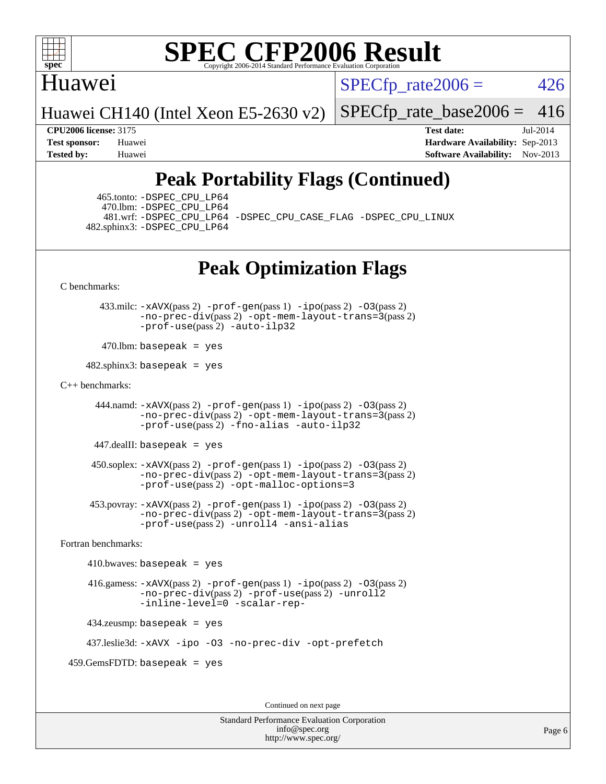

### Huawei

 $SPECTp\_rate2006 = 426$ 

Huawei CH140 (Intel Xeon E5-2630 v2)

[SPECfp\\_rate\\_base2006 =](http://www.spec.org/auto/cpu2006/Docs/result-fields.html#SPECfpratebase2006) 416

**[CPU2006 license:](http://www.spec.org/auto/cpu2006/Docs/result-fields.html#CPU2006license)** 3175 **[Test date:](http://www.spec.org/auto/cpu2006/Docs/result-fields.html#Testdate)** Jul-2014 **[Test sponsor:](http://www.spec.org/auto/cpu2006/Docs/result-fields.html#Testsponsor)** Huawei **[Hardware Availability:](http://www.spec.org/auto/cpu2006/Docs/result-fields.html#HardwareAvailability)** Sep-2013 **[Tested by:](http://www.spec.org/auto/cpu2006/Docs/result-fields.html#Testedby)** Huawei **[Software Availability:](http://www.spec.org/auto/cpu2006/Docs/result-fields.html#SoftwareAvailability)** Nov-2013

## **[Peak Portability Flags \(Continued\)](http://www.spec.org/auto/cpu2006/Docs/result-fields.html#PeakPortabilityFlags)**

 465.tonto: [-DSPEC\\_CPU\\_LP64](http://www.spec.org/cpu2006/results/res2014q3/cpu2006-20140718-30510.flags.html#suite_peakPORTABILITY465_tonto_DSPEC_CPU_LP64) 470.lbm: [-DSPEC\\_CPU\\_LP64](http://www.spec.org/cpu2006/results/res2014q3/cpu2006-20140718-30510.flags.html#suite_peakPORTABILITY470_lbm_DSPEC_CPU_LP64) 482.sphinx3: [-DSPEC\\_CPU\\_LP64](http://www.spec.org/cpu2006/results/res2014q3/cpu2006-20140718-30510.flags.html#suite_peakPORTABILITY482_sphinx3_DSPEC_CPU_LP64)

481.wrf: [-DSPEC\\_CPU\\_LP64](http://www.spec.org/cpu2006/results/res2014q3/cpu2006-20140718-30510.flags.html#suite_peakPORTABILITY481_wrf_DSPEC_CPU_LP64) [-DSPEC\\_CPU\\_CASE\\_FLAG](http://www.spec.org/cpu2006/results/res2014q3/cpu2006-20140718-30510.flags.html#b481.wrf_peakCPORTABILITY_DSPEC_CPU_CASE_FLAG) [-DSPEC\\_CPU\\_LINUX](http://www.spec.org/cpu2006/results/res2014q3/cpu2006-20140718-30510.flags.html#b481.wrf_peakCPORTABILITY_DSPEC_CPU_LINUX)

## **[Peak Optimization Flags](http://www.spec.org/auto/cpu2006/Docs/result-fields.html#PeakOptimizationFlags)**

[C benchmarks](http://www.spec.org/auto/cpu2006/Docs/result-fields.html#Cbenchmarks):

 433.milc: [-xAVX](http://www.spec.org/cpu2006/results/res2014q3/cpu2006-20140718-30510.flags.html#user_peakPASS2_CFLAGSPASS2_LDFLAGS433_milc_f-xAVX)(pass 2) [-prof-gen](http://www.spec.org/cpu2006/results/res2014q3/cpu2006-20140718-30510.flags.html#user_peakPASS1_CFLAGSPASS1_LDFLAGS433_milc_prof_gen_e43856698f6ca7b7e442dfd80e94a8fc)(pass 1) [-ipo](http://www.spec.org/cpu2006/results/res2014q3/cpu2006-20140718-30510.flags.html#user_peakPASS2_CFLAGSPASS2_LDFLAGS433_milc_f-ipo)(pass 2) [-O3](http://www.spec.org/cpu2006/results/res2014q3/cpu2006-20140718-30510.flags.html#user_peakPASS2_CFLAGSPASS2_LDFLAGS433_milc_f-O3)(pass 2) [-no-prec-div](http://www.spec.org/cpu2006/results/res2014q3/cpu2006-20140718-30510.flags.html#user_peakPASS2_CFLAGSPASS2_LDFLAGS433_milc_f-no-prec-div)(pass 2) [-opt-mem-layout-trans=3](http://www.spec.org/cpu2006/results/res2014q3/cpu2006-20140718-30510.flags.html#user_peakPASS2_CFLAGS433_milc_f-opt-mem-layout-trans_a7b82ad4bd7abf52556d4961a2ae94d5)(pass 2) [-prof-use](http://www.spec.org/cpu2006/results/res2014q3/cpu2006-20140718-30510.flags.html#user_peakPASS2_CFLAGSPASS2_LDFLAGS433_milc_prof_use_bccf7792157ff70d64e32fe3e1250b55)(pass 2) [-auto-ilp32](http://www.spec.org/cpu2006/results/res2014q3/cpu2006-20140718-30510.flags.html#user_peakCOPTIMIZE433_milc_f-auto-ilp32)

 $470$ .lbm: basepeak = yes

 $482$ .sphinx3: basepeak = yes

#### [C++ benchmarks:](http://www.spec.org/auto/cpu2006/Docs/result-fields.html#CXXbenchmarks)

444.namd:  $-x$ AVX(pass 2)  $-p$ rof-gen(pass 1)  $-p$ po(pass 2)  $-03$ (pass 2) [-no-prec-div](http://www.spec.org/cpu2006/results/res2014q3/cpu2006-20140718-30510.flags.html#user_peakPASS2_CXXFLAGSPASS2_LDFLAGS444_namd_f-no-prec-div)(pass 2) [-opt-mem-layout-trans=3](http://www.spec.org/cpu2006/results/res2014q3/cpu2006-20140718-30510.flags.html#user_peakPASS2_CXXFLAGS444_namd_f-opt-mem-layout-trans_a7b82ad4bd7abf52556d4961a2ae94d5)(pass 2) [-prof-use](http://www.spec.org/cpu2006/results/res2014q3/cpu2006-20140718-30510.flags.html#user_peakPASS2_CXXFLAGSPASS2_LDFLAGS444_namd_prof_use_bccf7792157ff70d64e32fe3e1250b55)(pass 2) [-fno-alias](http://www.spec.org/cpu2006/results/res2014q3/cpu2006-20140718-30510.flags.html#user_peakCXXOPTIMIZE444_namd_f-no-alias_694e77f6c5a51e658e82ccff53a9e63a) [-auto-ilp32](http://www.spec.org/cpu2006/results/res2014q3/cpu2006-20140718-30510.flags.html#user_peakCXXOPTIMIZE444_namd_f-auto-ilp32)

447.dealII: basepeak = yes

 $450$ .soplex:  $-x$ AVX(pass 2)  $-p$ rof-gen(pass 1)  $-i$ po(pass 2)  $-03$ (pass 2) [-no-prec-div](http://www.spec.org/cpu2006/results/res2014q3/cpu2006-20140718-30510.flags.html#user_peakPASS2_CXXFLAGSPASS2_LDFLAGS450_soplex_f-no-prec-div)(pass 2) [-opt-mem-layout-trans=3](http://www.spec.org/cpu2006/results/res2014q3/cpu2006-20140718-30510.flags.html#user_peakPASS2_CXXFLAGS450_soplex_f-opt-mem-layout-trans_a7b82ad4bd7abf52556d4961a2ae94d5)(pass 2) [-prof-use](http://www.spec.org/cpu2006/results/res2014q3/cpu2006-20140718-30510.flags.html#user_peakPASS2_CXXFLAGSPASS2_LDFLAGS450_soplex_prof_use_bccf7792157ff70d64e32fe3e1250b55)(pass 2) [-opt-malloc-options=3](http://www.spec.org/cpu2006/results/res2014q3/cpu2006-20140718-30510.flags.html#user_peakOPTIMIZE450_soplex_f-opt-malloc-options_13ab9b803cf986b4ee62f0a5998c2238)

 453.povray: [-xAVX](http://www.spec.org/cpu2006/results/res2014q3/cpu2006-20140718-30510.flags.html#user_peakPASS2_CXXFLAGSPASS2_LDFLAGS453_povray_f-xAVX)(pass 2) [-prof-gen](http://www.spec.org/cpu2006/results/res2014q3/cpu2006-20140718-30510.flags.html#user_peakPASS1_CXXFLAGSPASS1_LDFLAGS453_povray_prof_gen_e43856698f6ca7b7e442dfd80e94a8fc)(pass 1) [-ipo](http://www.spec.org/cpu2006/results/res2014q3/cpu2006-20140718-30510.flags.html#user_peakPASS2_CXXFLAGSPASS2_LDFLAGS453_povray_f-ipo)(pass 2) [-O3](http://www.spec.org/cpu2006/results/res2014q3/cpu2006-20140718-30510.flags.html#user_peakPASS2_CXXFLAGSPASS2_LDFLAGS453_povray_f-O3)(pass 2) [-no-prec-div](http://www.spec.org/cpu2006/results/res2014q3/cpu2006-20140718-30510.flags.html#user_peakPASS2_CXXFLAGSPASS2_LDFLAGS453_povray_f-no-prec-div)(pass 2) [-opt-mem-layout-trans=3](http://www.spec.org/cpu2006/results/res2014q3/cpu2006-20140718-30510.flags.html#user_peakPASS2_CXXFLAGS453_povray_f-opt-mem-layout-trans_a7b82ad4bd7abf52556d4961a2ae94d5)(pass 2) [-prof-use](http://www.spec.org/cpu2006/results/res2014q3/cpu2006-20140718-30510.flags.html#user_peakPASS2_CXXFLAGSPASS2_LDFLAGS453_povray_prof_use_bccf7792157ff70d64e32fe3e1250b55)(pass 2) [-unroll4](http://www.spec.org/cpu2006/results/res2014q3/cpu2006-20140718-30510.flags.html#user_peakCXXOPTIMIZE453_povray_f-unroll_4e5e4ed65b7fd20bdcd365bec371b81f) [-ansi-alias](http://www.spec.org/cpu2006/results/res2014q3/cpu2006-20140718-30510.flags.html#user_peakCXXOPTIMIZE453_povray_f-ansi-alias)

[Fortran benchmarks](http://www.spec.org/auto/cpu2006/Docs/result-fields.html#Fortranbenchmarks):

 $410.bwaves: basepeak = yes$  416.gamess: [-xAVX](http://www.spec.org/cpu2006/results/res2014q3/cpu2006-20140718-30510.flags.html#user_peakPASS2_FFLAGSPASS2_LDFLAGS416_gamess_f-xAVX)(pass 2) [-prof-gen](http://www.spec.org/cpu2006/results/res2014q3/cpu2006-20140718-30510.flags.html#user_peakPASS1_FFLAGSPASS1_LDFLAGS416_gamess_prof_gen_e43856698f6ca7b7e442dfd80e94a8fc)(pass 1) [-ipo](http://www.spec.org/cpu2006/results/res2014q3/cpu2006-20140718-30510.flags.html#user_peakPASS2_FFLAGSPASS2_LDFLAGS416_gamess_f-ipo)(pass 2) [-O3](http://www.spec.org/cpu2006/results/res2014q3/cpu2006-20140718-30510.flags.html#user_peakPASS2_FFLAGSPASS2_LDFLAGS416_gamess_f-O3)(pass 2) [-no-prec-div](http://www.spec.org/cpu2006/results/res2014q3/cpu2006-20140718-30510.flags.html#user_peakPASS2_FFLAGSPASS2_LDFLAGS416_gamess_f-no-prec-div)(pass 2) [-prof-use](http://www.spec.org/cpu2006/results/res2014q3/cpu2006-20140718-30510.flags.html#user_peakPASS2_FFLAGSPASS2_LDFLAGS416_gamess_prof_use_bccf7792157ff70d64e32fe3e1250b55)(pass 2) [-unroll2](http://www.spec.org/cpu2006/results/res2014q3/cpu2006-20140718-30510.flags.html#user_peakOPTIMIZE416_gamess_f-unroll_784dae83bebfb236979b41d2422d7ec2) [-inline-level=0](http://www.spec.org/cpu2006/results/res2014q3/cpu2006-20140718-30510.flags.html#user_peakOPTIMIZE416_gamess_f-inline-level_318d07a09274ad25e8d15dbfaa68ba50) [-scalar-rep-](http://www.spec.org/cpu2006/results/res2014q3/cpu2006-20140718-30510.flags.html#user_peakOPTIMIZE416_gamess_f-disablescalarrep_abbcad04450fb118e4809c81d83c8a1d) 434.zeusmp: basepeak = yes

437.leslie3d: [-xAVX](http://www.spec.org/cpu2006/results/res2014q3/cpu2006-20140718-30510.flags.html#user_peakOPTIMIZE437_leslie3d_f-xAVX) [-ipo](http://www.spec.org/cpu2006/results/res2014q3/cpu2006-20140718-30510.flags.html#user_peakOPTIMIZE437_leslie3d_f-ipo) [-O3](http://www.spec.org/cpu2006/results/res2014q3/cpu2006-20140718-30510.flags.html#user_peakOPTIMIZE437_leslie3d_f-O3) [-no-prec-div](http://www.spec.org/cpu2006/results/res2014q3/cpu2006-20140718-30510.flags.html#user_peakOPTIMIZE437_leslie3d_f-no-prec-div) [-opt-prefetch](http://www.spec.org/cpu2006/results/res2014q3/cpu2006-20140718-30510.flags.html#user_peakOPTIMIZE437_leslie3d_f-opt-prefetch)

459.GemsFDTD: basepeak = yes

Continued on next page

Standard Performance Evaluation Corporation [info@spec.org](mailto:info@spec.org) <http://www.spec.org/>